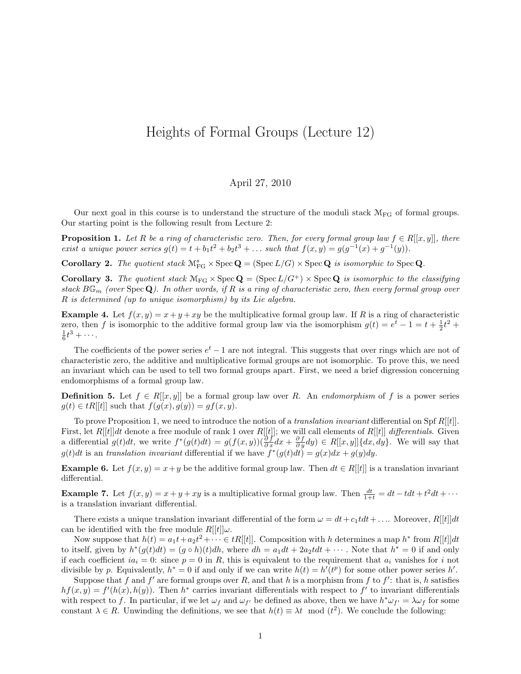## Heights of Formal Groups (Lecture 12)

## April 27, 2010

Our next goal in this course is to understand the structure of the moduli stack  $\mathcal{M}_{FG}$  of formal groups. Our starting point is the following result from Lecture 2:

**Proposition 1.** Let R be a ring of characteristic zero. Then, for every formal group law  $f \in R[[x, y]]$ , there exist a unique power series  $g(t) = t + b_1 t^2 + b_2 t^3 + \dots$  such that  $f(x, y) = g(g^{-1}(x) + g^{-1}(y))$ .

**Corollary 2.** The quotient stack  $\mathcal{M}_{FG}^s \times \text{Spec } \mathbf{Q} = (\text{Spec } L/G) \times \text{Spec } \mathbf{Q}$  is isomorphic to  $\text{Spec } \mathbf{Q}$ .

**Corollary 3.** The quotient stack  $M_{FG} \times \text{Spec } Q = (\text{Spec } L/G^+) \times \text{Spec } Q$  is isomorphic to the classifying stack  $B\mathbb{G}_m$  (over  $\text{Spec } \mathbf{Q}$ ). In other words, if R is a ring of characteristic zero, then every formal group over R is determined (up to unique isomorphism) by its Lie algebra.

**Example 4.** Let  $f(x, y) = x + y + xy$  be the multiplicative formal group law. If R is a ring of characteristic zero, then f is isomorphic to the additive formal group law via the isomorphism  $g(t) = e^t - 1 = t + \frac{1}{2}t^2 +$  $\frac{1}{6}t^3 + \cdots$ .

The coefficients of the power series  $e^t - 1$  are not integral. This suggests that over rings which are not of characteristic zero, the additive and multiplicative formal groups are not isomorphic. To prove this, we need an invariant which can be used to tell two formal groups apart. First, we need a brief digression concerning endomorphisms of a formal group law.

**Definition 5.** Let  $f \in R[[x, y]]$  be a formal group law over R. An endomorphism of f is a power series  $g(t) \in tR[[t]]$  such that  $f(g(x), g(y)) = gf(x, y)$ .

To prove Proposition 1, we need to introduce the notion of a *translation invariant* differential on Spf  $R[[t]]$ . First, let  $R[[t]]dt$  denote a free module of rank 1 over  $R[[t]]$ ; we will call elements of  $R[[t]]$  differentials. Given a differential  $g(t)dt$ , we write  $f^*(g(t)dt) = g(f(x,y))(\frac{\partial f}{\partial x}dx + \frac{\partial f}{\partial y}dy) \in R[[x,y]]\{dx, dy\}$ . We will say that  $g(t)dt$  is an translation invariant differential if we have  $f^*(g(t)dt) = g(x)dx + g(y)dy$ .

**Example 6.** Let  $f(x, y) = x + y$  be the additive formal group law. Then  $dt \in R[[t]]$  is a translation invariant differential.

**Example 7.** Let  $f(x, y) = x + y + xy$  is a multiplicative formal group law. Then  $\frac{dt}{1+t} = dt - tdt + t^2dt + \cdots$ is a translation invariant differential.

There exists a unique translation invariant differential of the form  $\omega = dt + c_1 t dt + ...$  Moreover,  $R[[t]]dt$ can be identified with the free module  $R[[t]]\omega$ .

Now suppose that  $h(t) = a_1 t + a_2 t^2 + \cdots \in tR[[t]]$ . Composition with h determines a map  $h^*$  from  $R[[t]]dt$ to itself, given by  $h^*(g(t)dt) = (g \circ h)(t)dh$ , where  $dh = a_1dt + 2a_2tdt + \cdots$ . Note that  $h^* = 0$  if and only if each coefficient  $ia_i = 0$ : since  $p = 0$  in R, this is equivalent to the requirement that  $a_i$  vanishes for i not divisible by p. Equivalently,  $h^* = 0$  if and only if we can write  $h(t) = h'(t^p)$  for some other power series h'.

Suppose that f and f' are formal groups over R, and that h is a morphism from f to f': that is, h satisfies  $hf(x, y) = f'(h(x), h(y))$ . Then  $h^*$  carries invariant differentials with respect to f' to invariant differentials with respect to f. In particular, if we let  $\omega_f$  and  $\omega_{f'}$  be defined as above, then we have  $h^*\omega_{f'} = \lambda \omega_f$  for some constant  $\lambda \in R$ . Unwinding the definitions, we see that  $h(t) \equiv \lambda t \mod (t^2)$ . We conclude the following: